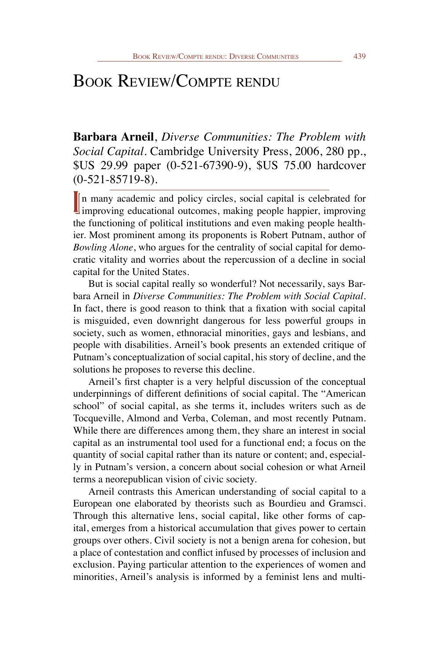## Book Review/Compte rendu

**Barbara Arneil**, *Diverse Communities: The Problem with Social Capital*. Cambridge University Press, 2006, 280 pp., \$US 29.99 paper (0-521-67390-9), \$US 75.00 hardcover (0-521-85719-8).

In many academic and policy circles, social capital is celebrated for improving educational outcomes, making people happier, improving In many academic and policy circles, social capital is celebrated for the functioning of political institutions and even making people healthier. Most prominent among its proponents is Robert Putnam, author of *Bowling Alone*, who argues for the centrality of social capital for democratic vitality and worries about the repercussion of a decline in social capital for the United States.

But is social capital really so wonderful? Not necessarily, says Barbara Arneil in *Diverse Communities: The Problem with Social Capital*. In fact, there is good reason to think that a fixation with social capital is misguided, even downright dangerous for less powerful groups in society, such as women, ethnoracial minorities, gays and lesbians, and people with disabilities. Arneil's book presents an extended critique of Putnam's conceptualization of social capital, his story of decline, and the solutions he proposes to reverse this decline.

Arneil's first chapter is a very helpful discussion of the conceptual underpinnings of different definitions of social capital. The "American school" of social capital, as she terms it, includes writers such as de Tocqueville, Almond and Verba, Coleman, and most recently Putnam. While there are differences among them, they share an interest in social capital as an instrumental tool used for a functional end; a focus on the quantity of social capital rather than its nature or content; and, especially in Putnam's version, a concern about social cohesion or what Arneil terms a neorepublican vision of civic society.

Arneil contrasts this American understanding of social capital to a European one elaborated by theorists such as Bourdieu and Gramsci. Through this alternative lens, social capital, like other forms of capital, emerges from a historical accumulation that gives power to certain groups over others. Civil society is not a benign arena for cohesion, but a place of contestation and conflict infused by processes of inclusion and exclusion. Paying particular attention to the experiences of women and minorities, Arneil's analysis is informed by a feminist lens and multi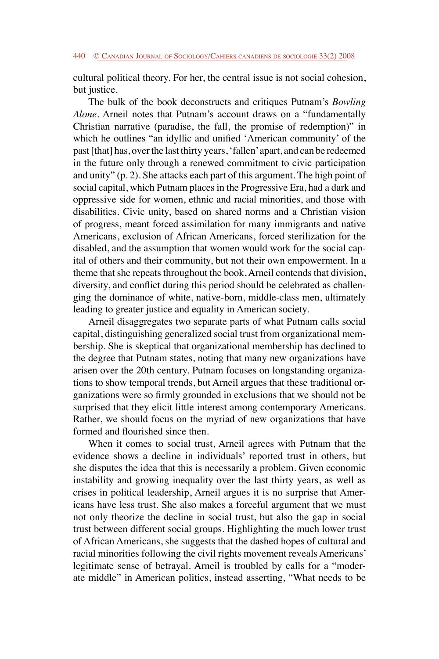cultural political theory. For her, the central issue is not social cohesion, but justice.

The bulk of the book deconstructs and critiques Putnam's *Bowling Alone*. Arneil notes that Putnam's account draws on a "fundamentally Christian narrative (paradise, the fall, the promise of redemption)" in which he outlines "an idyllic and unified 'American community' of the past [that] has, over the last thirty years, 'fallen' apart, and can be redeemed in the future only through a renewed commitment to civic participation and unity" (p. 2). She attacks each part of this argument. The high point of social capital, which Putnam places in the Progressive Era, had a dark and oppressive side for women, ethnic and racial minorities, and those with disabilities. Civic unity, based on shared norms and a Christian vision of progress, meant forced assimilation for many immigrants and native Americans, exclusion of African Americans, forced sterilization for the disabled, and the assumption that women would work for the social capital of others and their community, but not their own empowerment. In a theme that she repeats throughout the book, Arneil contends that division, diversity, and conflict during this period should be celebrated as challenging the dominance of white, native-born, middle-class men, ultimately leading to greater justice and equality in American society.

Arneil disaggregates two separate parts of what Putnam calls social capital, distinguishing generalized social trust from organizational membership. She is skeptical that organizational membership has declined to the degree that Putnam states, noting that many new organizations have arisen over the 20th century. Putnam focuses on longstanding organizations to show temporal trends, but Arneil argues that these traditional organizations were so firmly grounded in exclusions that we should not be surprised that they elicit little interest among contemporary Americans. Rather, we should focus on the myriad of new organizations that have formed and flourished since then.

When it comes to social trust, Arneil agrees with Putnam that the evidence shows a decline in individuals' reported trust in others, but she disputes the idea that this is necessarily a problem. Given economic instability and growing inequality over the last thirty years, as well as crises in political leadership, Arneil argues it is no surprise that Americans have less trust. She also makes a forceful argument that we must not only theorize the decline in social trust, but also the gap in social trust between different social groups. Highlighting the much lower trust of African Americans, she suggests that the dashed hopes of cultural and racial minorities following the civil rights movement reveals Americans' legitimate sense of betrayal. Arneil is troubled by calls for a "moderate middle" in American politics, instead asserting, "What needs to be